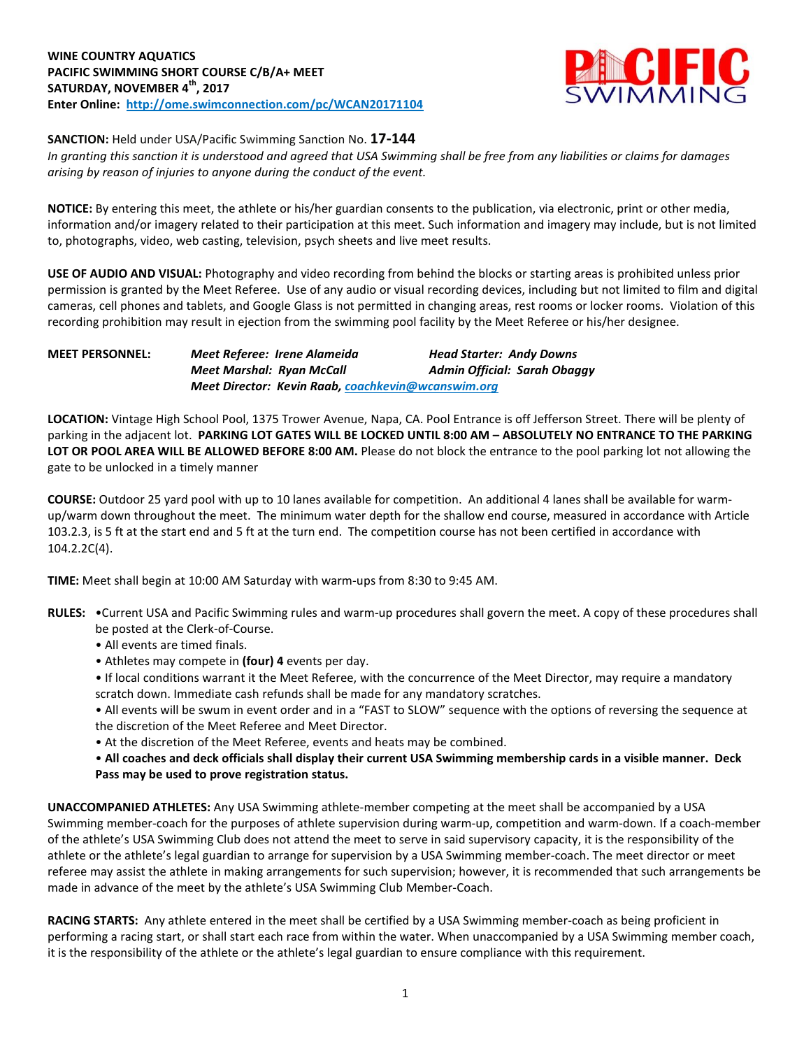

**SANCTION:** Held under USA/Pacific Swimming Sanction No. **17-144**

In granting this sanction it is understood and agreed that USA Swimming shall be free from any liabilities or claims for damages *arising by reason of injuries to anyone during the conduct of the event.*

**NOTICE:** By entering this meet, the athlete or his/her guardian consents to the publication, via electronic, print or other media, information and/or imagery related to their participation at this meet. Such information and imagery may include, but is not limited to, photographs, video, web casting, television, psych sheets and live meet results.

**USE OF AUDIO AND VISUAL:** Photography and video recording from behind the blocks or starting areas is prohibited unless prior permission is granted by the Meet Referee. Use of any audio or visual recording devices, including but not limited to film and digital cameras, cell phones and tablets, and Google Glass is not permitted in changing areas, rest rooms or locker rooms. Violation of this recording prohibition may result in ejection from the swimming pool facility by the Meet Referee or his/her designee.

**MEET PERSONNEL:** *Meet Referee: Irene Alameida Head Starter: Andy Downs Meet Marshal: Ryan McCall Admin Official: Sarah Obaggy Meet Director: Kevin Raab, [coachkevin@wcanswim.org](mailto:coachkevin@wcanswim.org)*

**LOCATION:** Vintage High School Pool, 1375 Trower Avenue, Napa, CA. Pool Entrance is off Jefferson Street. There will be plenty of parking in the adjacent lot. PARKING LOT GATES WILL BE LOCKED UNTIL 8:00 AM - ABSOLUTELY NO ENTRANCE TO THE PARKING **LOT OR POOL AREA WILL BE ALLOWED BEFORE 8:00 AM.** Please do not block the entrance to the pool parking lot not allowing the gate to be unlocked in a timely manner

**COURSE:** Outdoor 25 yard pool with up to 10 lanes available for competition. An additional 4 lanes shall be available for warmup/warm down throughout the meet. The minimum water depth for the shallow end course, measured in accordance with Article 103.2.3, is 5 ft at the start end and 5 ft at the turn end. The competition course has not been certified in accordance with 104.2.2C(4).

**TIME:** Meet shall begin at 10:00 AM Saturday with warm-ups from 8:30 to 9:45 AM.

- **RULES:** •Current USA and Pacific Swimming rules and warm-up procedures shall govern the meet. A copy of these procedures shall be posted at the Clerk-of-Course.
	- All events are timed finals.
	- Athletes may compete in **(four) 4** events per day.
	- If local conditions warrant it the Meet Referee, with the concurrence of the Meet Director, may require a mandatory scratch down. Immediate cash refunds shall be made for any mandatory scratches.
	- All events will be swum in event order and in a "FAST to SLOW" sequence with the options of reversing the sequence at the discretion of the Meet Referee and Meet Director.
	- At the discretion of the Meet Referee, events and heats may be combined.
	- . All coaches and deck officials shall display their current USA Swimming membership cards in a visible manner. Deck **Pass may be used to prove registration status.**

**UNACCOMPANIED ATHLETES:** Any USA Swimming athlete-member competing at the meet shall be accompanied by a USA Swimming member-coach for the purposes of athlete supervision during warm-up, competition and warm-down. If a coach-member of the athlete's USA Swimming Club does not attend the meet to serve in said supervisory capacity, it is the responsibility of the athlete or the athlete's legal guardian to arrange for supervision by a USA Swimming member-coach. The meet director or meet referee may assist the athlete in making arrangements for such supervision; however, it is recommended that such arrangements be made in advance of the meet by the athlete's USA Swimming Club Member-Coach.

**RACING STARTS:** Any athlete entered in the meet shall be certified by a USA Swimming member-coach as being proficient in performing a racing start, or shall start each race from within the water. When unaccompanied by a USA Swimming member coach, it is the responsibility of the athlete or the athlete's legal guardian to ensure compliance with this requirement.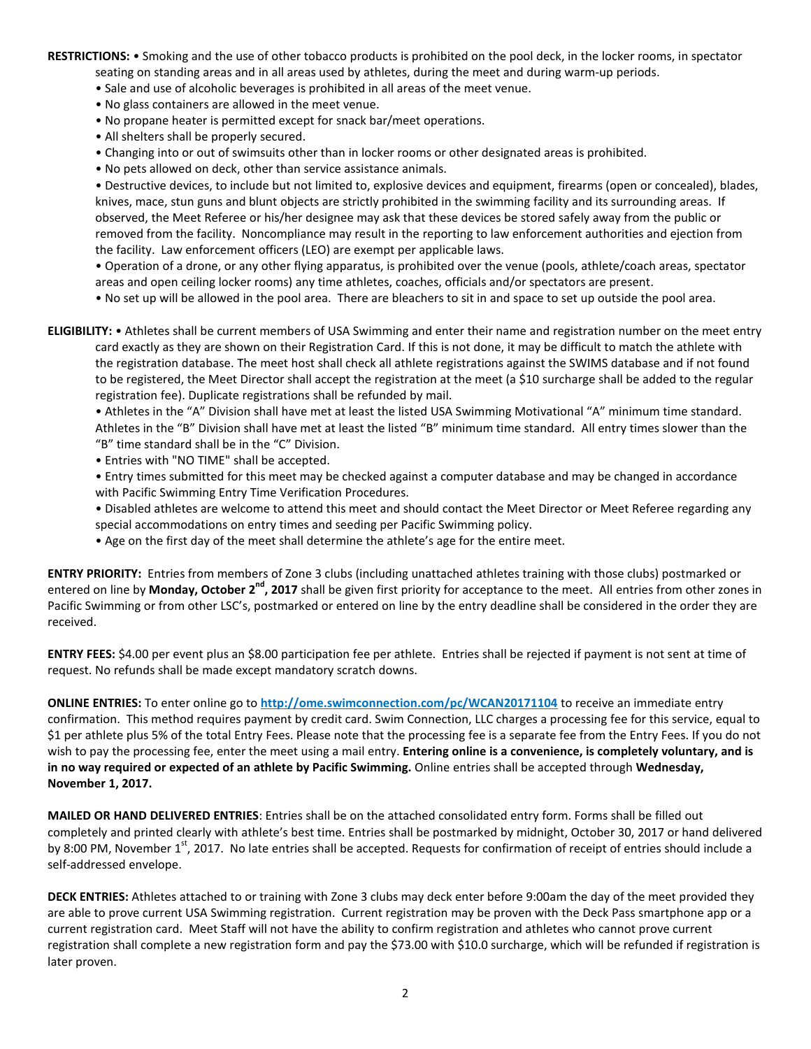**RESTRICTIONS:** • Smoking and the use of other tobacco products is prohibited on the pool deck, in the locker rooms, in spectator seating on standing areas and in all areas used by athletes, during the meet and during warm-up periods.

- Sale and use of alcoholic beverages is prohibited in all areas of the meet venue.
- No glass containers are allowed in the meet venue.
- No propane heater is permitted except for snack bar/meet operations.
- All shelters shall be properly secured.
- Changing into or out of swimsuits other than in locker rooms or other designated areas is prohibited.
- No pets allowed on deck, other than service assistance animals.

• Destructive devices, to include but not limited to, explosive devices and equipment, firearms (open or concealed), blades, knives, mace, stun guns and blunt objects are strictly prohibited in the swimming facility and its surrounding areas. If observed, the Meet Referee or his/her designee may ask that these devices be stored safely away from the public or removed from the facility. Noncompliance may result in the reporting to law enforcement authorities and ejection from the facility. Law enforcement officers (LEO) are exempt per applicable laws.

• Operation of a drone, or any other flying apparatus, is prohibited over the venue (pools, athlete/coach areas, spectator areas and open ceiling locker rooms) any time athletes, coaches, officials and/or spectators are present.

• No set up will be allowed in the pool area. There are bleachers to sit in and space to set up outside the pool area.

**ELIGIBILITY:** • Athletes shall be current members of USA Swimming and enter their name and registration number on the meet entry card exactly as they are shown on their Registration Card. If this is not done, it may be difficult to match the athlete with the registration database. The meet host shall check all athlete registrations against the SWIMS database and if not found to be registered, the Meet Director shall accept the registration at the meet (a \$10 surcharge shall be added to the regular registration fee). Duplicate registrations shall be refunded by mail.

• Athletes in the "A" Division shall have met at least the listed USA Swimming Motivational "A" minimum time standard. Athletes in the "B" Division shall have met at least the listed "B" minimum time standard. All entry times slower than the "B" time standard shall be in the "C" Division.

• Entries with "NO TIME" shall be accepted.

• Entry times submitted for this meet may be checked against a computer database and may be changed in accordance with Pacific Swimming Entry Time Verification Procedures.

• Disabled athletes are welcome to attend this meet and should contact the Meet Director or Meet Referee regarding any special accommodations on entry times and seeding per Pacific Swimming policy.

• Age on the first day of the meet shall determine the athlete's age for the entire meet.

**ENTRY PRIORITY:** Entries from members of Zone 3 clubs (including unattached athletes training with those clubs) postmarked or entered on line by Monday, October 2<sup>nd</sup>, 2017 shall be given first priority for acceptance to the meet. All entries from other zones in Pacific Swimming or from other LSC's, postmarked or entered on line by the entry deadline shall be considered in the order they are received.

**ENTRY FEES:** \$4.00 per event plus an \$8.00 participation fee per athlete. Entries shall be rejected if payment is not sent at time of request. No refunds shall be made except mandatory scratch downs.

**ONLINE ENTRIES:** To enter online go to **<http://ome.swimconnection.com/pc/WCAN20171104>** to receive an immediate entry confirmation. This method requires payment by credit card. Swim Connection, LLC charges a processing fee for this service, equal to \$1 per athlete plus 5% of the total Entry Fees. Please note that the processing fee is a separate fee from the Entry Fees. If you do not wish to pay the processing fee, enter the meet using a mail entry. **Entering online is a convenience, is completely voluntary, and is in no way required or expected of an athlete by Pacific Swimming.** Online entries shall be accepted through **Wednesday, November 1, 2017.**

**MAILED OR HAND DELIVERED ENTRIES**: Entries shall be on the attached consolidated entry form. Forms shall be filled out completely and printed clearly with athlete's best time. Entries shall be postmarked by midnight, October 30, 2017 or hand delivered by 8:00 PM, November 1<sup>st</sup>, 2017. No late entries shall be accepted. Requests for confirmation of receipt of entries should include a self-addressed envelope.

**DECK ENTRIES:** Athletes attached to or training with Zone 3 clubs may deck enter before 9:00am the day of the meet provided they are able to prove current USA Swimming registration. Current registration may be proven with the Deck Pass smartphone app or a current registration card. Meet Staff will not have the ability to confirm registration and athletes who cannot prove current registration shall complete a new registration form and pay the \$73.00 with \$10.0 surcharge, which will be refunded if registration is later proven.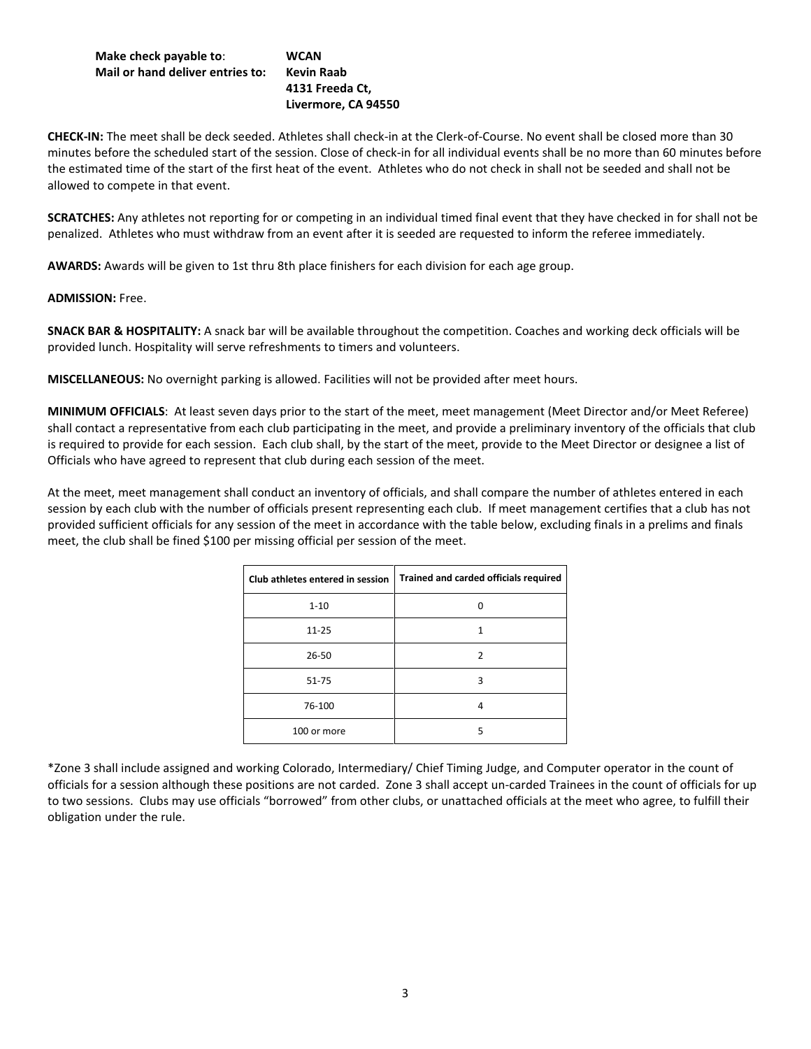## **Make check payable to**: **WCAN Mail or hand deliver entries to: Kevin Raab**

## **4131 Freeda Ct, Livermore, CA 94550**

**CHECK-IN:** The meet shall be deck seeded. Athletes shall check-in at the Clerk-of-Course. No event shall be closed more than 30 minutes before the scheduled start of the session. Close of check-in for all individual events shall be no more than 60 minutes before the estimated time of the start of the first heat of the event. Athletes who do not check in shall not be seeded and shall not be allowed to compete in that event.

**SCRATCHES:** Any athletes not reporting for or competing in an individual timed final event that they have checked in for shall not be penalized. Athletes who must withdraw from an event after it is seeded are requested to inform the referee immediately.

**AWARDS:** Awards will be given to 1st thru 8th place finishers for each division for each age group.

**ADMISSION:** Free.

**SNACK BAR & HOSPITALITY:** A snack bar will be available throughout the competition. Coaches and working deck officials will be provided lunch. Hospitality will serve refreshments to timers and volunteers.

**MISCELLANEOUS:** No overnight parking is allowed. Facilities will not be provided after meet hours.

**MINIMUM OFFICIALS**: At least seven days prior to the start of the meet, meet management (Meet Director and/or Meet Referee) shall contact a representative from each club participating in the meet, and provide a preliminary inventory of the officials that club is required to provide for each session. Each club shall, by the start of the meet, provide to the Meet Director or designee a list of Officials who have agreed to represent that club during each session of the meet.

At the meet, meet management shall conduct an inventory of officials, and shall compare the number of athletes entered in each session by each club with the number of officials present representing each club. If meet management certifies that a club has not provided sufficient officials for any session of the meet in accordance with the table below, excluding finals in a prelims and finals meet, the club shall be fined \$100 per missing official per session of the meet.

| Club athletes entered in session | Trained and carded officials required |
|----------------------------------|---------------------------------------|
| $1 - 10$                         |                                       |
| $11 - 25$                        | 1                                     |
| 26-50                            | ͻ                                     |
| $51 - 75$                        | ξ                                     |
| 76-100                           | 4                                     |
| 100 or more                      | 5                                     |

\*Zone 3 shall include assigned and working Colorado, Intermediary/ Chief Timing Judge, and Computer operator in the count of officials for a session although these positions are not carded. Zone 3 shall accept un-carded Trainees in the count of officials for up to two sessions. Clubs may use officials "borrowed" from other clubs, or unattached officials at the meet who agree, to fulfill their obligation under the rule.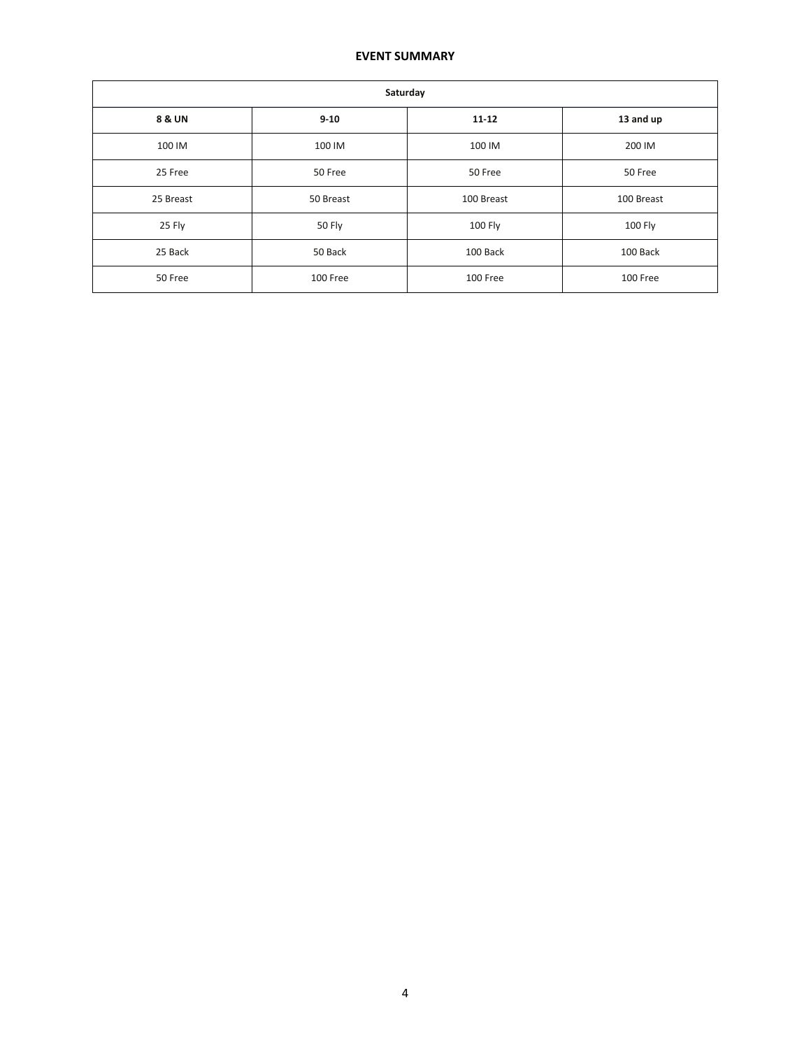## **EVENT SUMMARY**

| Saturday  |           |            |            |  |  |  |  |  |  |
|-----------|-----------|------------|------------|--|--|--|--|--|--|
| 8 & UN    | $9 - 10$  | $11 - 12$  | 13 and up  |  |  |  |  |  |  |
| 100 IM    | 100 IM    | 100 IM     | 200 IM     |  |  |  |  |  |  |
| 25 Free   | 50 Free   | 50 Free    | 50 Free    |  |  |  |  |  |  |
| 25 Breast | 50 Breast | 100 Breast | 100 Breast |  |  |  |  |  |  |
| 25 Fly    | 50 Fly    | 100 Fly    | 100 Fly    |  |  |  |  |  |  |
| 25 Back   | 50 Back   | 100 Back   | 100 Back   |  |  |  |  |  |  |
| 50 Free   | 100 Free  | 100 Free   | 100 Free   |  |  |  |  |  |  |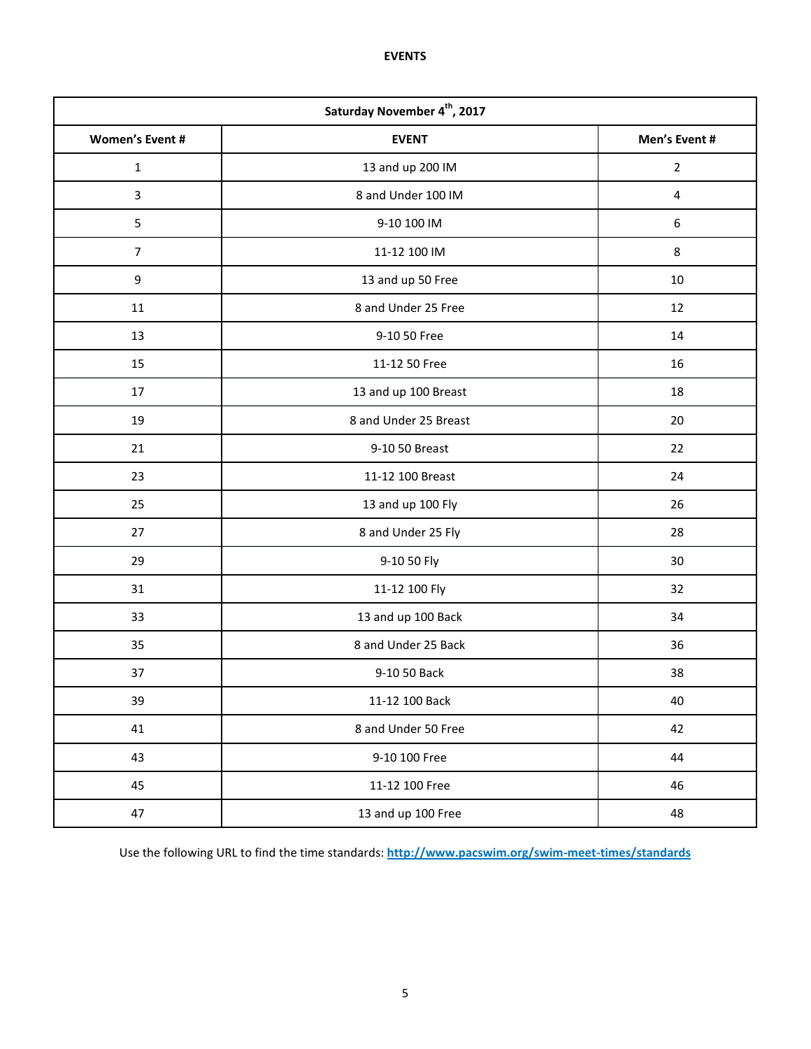**EVENTS**

| Saturday November 4 <sup>th</sup> , 2017 |                       |                |  |  |  |  |  |  |
|------------------------------------------|-----------------------|----------------|--|--|--|--|--|--|
| <b>Women's Event #</b>                   | <b>EVENT</b>          | Men's Event #  |  |  |  |  |  |  |
| $\mathbf 1$                              | 13 and up 200 IM      | $\overline{2}$ |  |  |  |  |  |  |
| $\overline{3}$                           | 8 and Under 100 IM    | 4              |  |  |  |  |  |  |
| 5                                        | 9-10 100 IM           | 6              |  |  |  |  |  |  |
| $\overline{7}$                           | 11-12 100 IM          | 8              |  |  |  |  |  |  |
| 9                                        | 13 and up 50 Free     | 10             |  |  |  |  |  |  |
| 11                                       | 8 and Under 25 Free   | 12             |  |  |  |  |  |  |
| 13                                       | 9-10 50 Free          | 14             |  |  |  |  |  |  |
| 15                                       | 11-12 50 Free         | 16             |  |  |  |  |  |  |
| 17                                       | 13 and up 100 Breast  | 18             |  |  |  |  |  |  |
| 19                                       | 8 and Under 25 Breast | 20             |  |  |  |  |  |  |
| 21                                       | 9-10 50 Breast        | 22             |  |  |  |  |  |  |
| 23                                       | 11-12 100 Breast      | 24             |  |  |  |  |  |  |
| 25                                       | 13 and up 100 Fly     | 26             |  |  |  |  |  |  |
| 27                                       | 8 and Under 25 Fly    | 28             |  |  |  |  |  |  |
| 29                                       | 9-10 50 Fly           | 30             |  |  |  |  |  |  |
| 31                                       | 11-12 100 Fly         | 32             |  |  |  |  |  |  |
| 33                                       | 13 and up 100 Back    | 34             |  |  |  |  |  |  |
| 35                                       | 8 and Under 25 Back   | 36             |  |  |  |  |  |  |
| 37                                       | 9-10 50 Back          | 38             |  |  |  |  |  |  |
| 39                                       | 11-12 100 Back        | 40             |  |  |  |  |  |  |
| 41                                       | 8 and Under 50 Free   | 42             |  |  |  |  |  |  |
| 43                                       | 9-10 100 Free         | 44             |  |  |  |  |  |  |
| 45                                       | 11-12 100 Free        | 46             |  |  |  |  |  |  |
| 47                                       | 13 and up 100 Free    | 48             |  |  |  |  |  |  |

Use the following URL to find the time standards: **<http://www.pacswim.org/swim-meet-times/standards>**